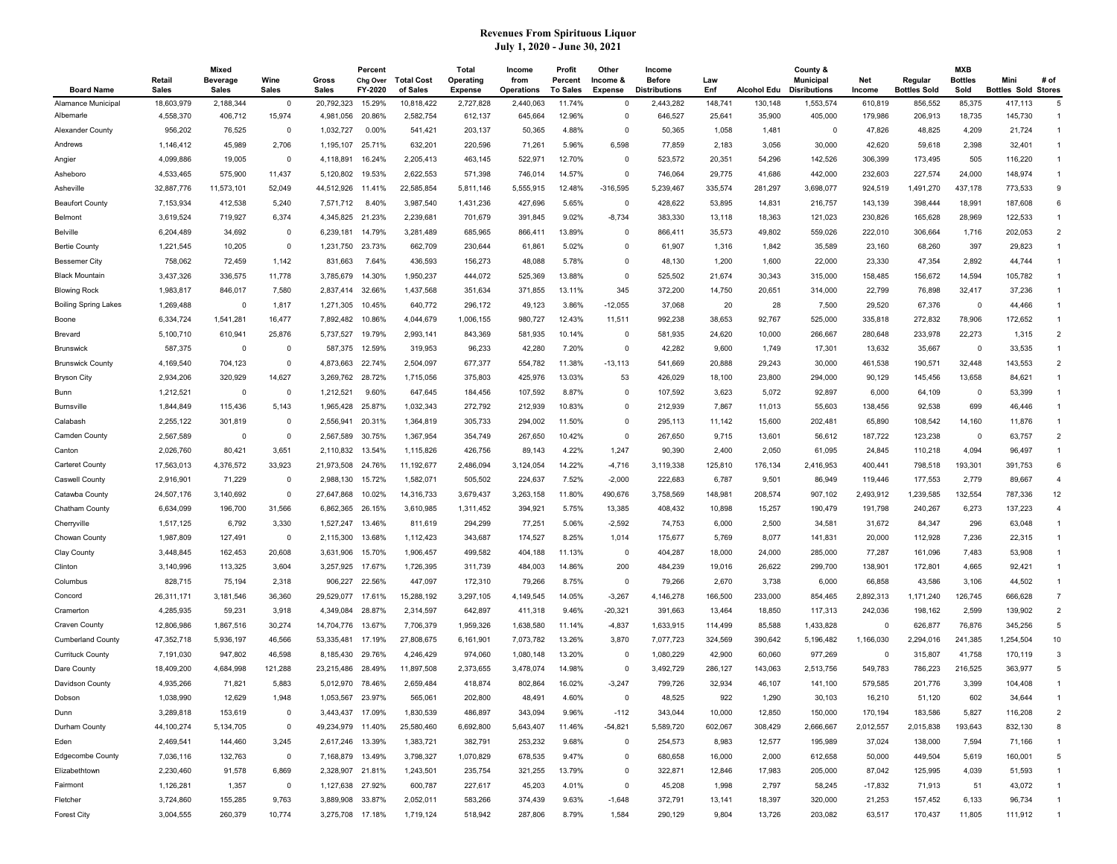|                             |                        | Mixed                           |                      |                       | Percent             |                               | Total                       | Income             | Profit                     | Other                      | Income                        |            |                    | County &                                |               |                                | MXB                    |                                    |                |
|-----------------------------|------------------------|---------------------------------|----------------------|-----------------------|---------------------|-------------------------------|-----------------------------|--------------------|----------------------------|----------------------------|-------------------------------|------------|--------------------|-----------------------------------------|---------------|--------------------------------|------------------------|------------------------------------|----------------|
| <b>Board Name</b>           | Retail<br><b>Sales</b> | <b>Beverage</b><br><b>Sales</b> | Wine<br><b>Sales</b> | Gross<br><b>Sales</b> | Chg Over<br>FY-2020 | <b>Total Cost</b><br>of Sales | Operating<br><b>Expense</b> | from<br>Operations | Percent<br><b>To Sales</b> | Income &<br><b>Expense</b> | <b>Before</b><br>istributions | Law<br>Enf | <b>Alcohol Edu</b> | <b>Municipal</b><br><b>Disributions</b> | Net<br>Income | Regular<br><b>Bottles Sold</b> | <b>Bottles</b><br>Sold | Mini<br><b>Bottles Sold Stores</b> | # of           |
| Alamance Municipal          | 18,603,979             | 2,188,344                       | $\mathbf 0$          | 20.792.323            | 15.29%              | 10,818,422                    | 2,727,828                   | 2,440,063          | 11.74%                     | $\mathbf 0$                | 2,443,282                     | 148,741    | 130,148            | 1,553,574                               | 610,819       | 856,552                        | 85,375                 | 417,113                            | 5              |
| Albemarle                   | 4,558,370              | 406,712                         | 15,974               | 4,981,056             | 20.86%              | 2,582,754                     | 612,137                     | 645,664            | 12.96%                     | $\overline{0}$             | 646,527                       | 25,641     | 35,900             | 405,000                                 | 179,986       | 206,913                        | 18,735                 | 145,730                            | -1             |
| Alexander County            | 956,202                | 76,525                          | $\mathbf 0$          | 1,032,727             | 0.00%               | 541,421                       | 203,137                     | 50,365             | 4.88%                      | $\Omega$                   | 50,365                        | 1,058      | 1,481              | $\overline{\mathbf{0}}$                 | 47,826        | 48,825                         | 4,209                  | 21,724                             | $\mathbf{1}$   |
| Andrews                     | 1,146,412              | 45,989                          | 2,706                | 1,195,107             | 25.71%              | 632,201                       | 220,596                     | 71,261             | 5.96%                      | 6,598                      | 77,859                        | 2,183      | 3,056              | 30,000                                  | 42,620        | 59,618                         | 2,398                  | 32,401                             | $\mathbf{1}$   |
| Angier                      | 4,099,886              | 19,005                          | $\mathbf 0$          | 4,118,891             | 16.24%              | 2,205,413                     | 463,145                     | 522,971            | 12.70%                     | $\Omega$                   | 523,572                       | 20,351     | 54,296             | 142,526                                 | 306,399       | 173,495                        | 505                    | 116,220                            | $\mathbf{1}$   |
| Asheboro                    | 4,533,465              | 575,900                         | 11,437               | 5,120,802             | 19.53%              | 2,622,553                     | 571,398                     | 746,014            | 14.57%                     | $\mathbf 0$                | 746,064                       | 29,775     | 41,686             | 442,000                                 | 232,603       | 227,574                        | 24,000                 | 148,974                            |                |
| Asheville                   | 32,887,776             | 11,573,101                      | 52,049               | 44,512,926            | 11.41%              | 22,585,854                    | 5,811,146                   | 5,555,915          | 12.48%                     | $-316,595$                 | 5,239,467                     | 335,574    | 281,297            | 3,698,077                               | 924,519       | 1,491,270                      | 437,178                | 773,533                            | 9              |
| <b>Beaufort County</b>      | 7,153,934              | 412,538                         | 5,240                | 7,571,712             | 8.40%               | 3,987,540                     | 1,431,236                   | 427,696            | 5.65%                      | - 0                        | 428,622                       | 53,895     | 14,831             | 216,757                                 | 143,139       | 398,444                        | 18,991                 | 187,608                            | 6              |
| Belmont                     | 3,619,524              | 719,927                         | 6,374                | 4,345,825             | 21.23%              | 2,239,681                     | 701,679                     | 391,845            | 9.02%                      | $-8,734$                   | 383,330                       | 13,118     | 18,363             | 121,023                                 | 230,826       | 165,628                        | 28,969                 | 122,533                            | $\mathbf{1}$   |
| <b>Belville</b>             | 6,204,489              | 34,692                          | 0                    | 6,239,181             | 14.79%              | 3,281,489                     | 685,965                     | 866,411            | 13.89%                     | $\overline{0}$             | 866,411                       | 35,573     | 49,802             | 559,026                                 | 222,010       | 306,664                        | 1,716                  | 202,053                            | $\overline{2}$ |
| <b>Bertie County</b>        | 1,221,545              | 10,205                          | $\mathbf 0$          | 1,231,750             | 23.73%              | 662,709                       | 230,644                     | 61,861             | 5.02%                      | $\mathbf 0$                | 61,907                        | 1,316      | 1,842              | 35,589                                  | 23,160        | 68,260                         | 397                    | 29,823                             | $\mathbf{1}$   |
| <b>Bessemer City</b>        | 758,062                | 72,459                          | 1,142                | 831,663               | 7.64%               | 436,593                       | 156,273                     | 48,088             | 5.78%                      | $\mathbf 0$                | 48,130                        | 1,200      | 1,600              | 22,000                                  | 23,330        | 47,354                         | 2,892                  | 44,744                             | $\mathbf{1}$   |
| <b>Black Mountain</b>       | 3,437,326              | 336,575                         | 11,778               | 3,785,679             | 14.30%              | 1,950,237                     | 444,072                     | 525,369            | 13.88%                     | $\Omega$                   | 525,502                       | 21,674     | 30,343             | 315,000                                 | 158,485       | 156,672                        | 14,594                 | 105,782                            |                |
| <b>Blowing Rock</b>         | 1,983,817              | 846,017                         | 7,580                | 2,837,414             | 32.66%              | 1,437,568                     | 351,634                     | 371,855            | 13.11%                     | 345                        | 372,200                       | 14,750     | 20,651             | 314,000                                 | 22,799        | 76,898                         | 32,417                 | 37,236                             | $\mathbf{1}$   |
| <b>Boiling Spring Lakes</b> | 1,269,488              | 0                               | 1,817                | 1,271,305             | 10.45%              | 640,772                       | 296,172                     | 49,123             | 3.86%                      | $-12,055$                  | 37,068                        | 20         | 28                 | 7,500                                   | 29,520        | 67,376                         | 0                      | 44,466                             |                |
| Boone                       | 6,334,724              | 1,541,281                       | 16,477               | 7,892,482             | 10.86%              | 4,044,679                     | 1,006,155                   | 980,727            | 12.43%                     | 11,511                     | 992,238                       | 38,653     | 92,767             | 525,000                                 | 335,818       | 272,832                        | 78,906                 | 172,652                            | $\mathbf{1}$   |
| Brevard                     | 5,100,710              | 610,941                         | 25,876               | 5,737,527             | 19.79%              | 2,993,141                     | 843,369                     | 581,935            | 10.14%                     | $\overline{0}$             | 581,935                       | 24,620     | 10,000             | 266,667                                 | 280,648       | 233,978                        | 22,273                 | 1,315                              | $\overline{2}$ |
| <b>Brunswick</b>            | 587,375                | $^{\circ}$                      | $^{\circ}$           | 587,375               | 12.59%              | 319,953                       | 96,233                      | 42,280             | 7.20%                      | $\overline{0}$             | 42,282                        | 9,600      | 1,749              | 17,301                                  | 13,632        | 35,667                         | $\Omega$               | 33,535                             | $\mathbf{1}$   |
| <b>Brunswick County</b>     | 4,169,540              | 704,123                         | $\mathbf 0$          | 4,873,663             | 22.74%              | 2,504,097                     | 677,377                     | 554,782            | 11.38%                     | $-13, 113$                 | 541,669                       | 20,888     | 29,243             | 30,000                                  | 461,538       | 190,571                        | 32,448                 | 143,553                            | $\overline{2}$ |
| <b>Bryson City</b>          | 2,934,206              | 320,929                         | 14,627               | 3,269,762             | 28.72%              | 1,715,056                     | 375,803                     | 425,976            | 13.03%                     | 53                         | 426,029                       | 18,100     | 23,800             | 294,000                                 | 90,129        | 145,456                        | 13,658                 | 84,621                             | -1             |
| Bunn                        | 1,212,521              | $\overline{0}$                  | $\mathbf 0$          | 1,212,521             | 9.60%               | 647,645                       | 184,456                     | 107,592            | 8.87%                      | $\Omega$                   | 107,592                       | 3,623      | 5,072              | 92,897                                  | 6,000         | 64,109                         | $\Omega$               | 53,399                             | $\mathbf{1}$   |
| <b>Burnsville</b>           | 1,844,849              | 115,436                         | 5,143                | 1,965,428             | 25.87%              | 1,032,343                     | 272,792                     | 212,939            | 10.83%                     | $\mathbf 0$                | 212,939                       | 7,867      | 11,013             | 55,603                                  | 138,456       | 92,538                         | 699                    | 46,446                             |                |
| Calabash                    | 2,255,122              | 301,819                         | $^{\circ}$           | 2,556,941             | 20.31%              | 1,364,819                     | 305,733                     | 294,002            | 11.50%                     | $\mathbf 0$                | 295,113                       | 11,142     | 15,600             | 202,481                                 | 65,890        | 108,542                        | 14,160                 | 11,876                             |                |
| Camden County               | 2,567,589              | 0                               | $\mathbf 0$          | 2,567,589             | 30.75%              | 1,367,954                     | 354,749                     | 267,650            | 10.42%                     | $\mathbf 0$                | 267,650                       | 9,715      | 13,601             | 56,612                                  | 187,722       | 123,238                        | 0                      | 63,757                             | $\overline{2}$ |
| Canton                      | 2,026,760              | 80,421                          | 3,651                | 2,110,832             | 13.54%              | 1,115,826                     | 426,756                     | 89,143             | 4.22%                      | 1,247                      | 90,390                        | 2,400      | 2,050              | 61,095                                  | 24,845        | 110,218                        | 4,094                  | 96,497                             | $\mathbf{1}$   |
| Carteret County             | 17,563,013             | 4,376,572                       | 33,923               | 21,973,508            | 24.76%              | 11,192,677                    | 2,486,094                   | 3,124,054          | 14.22%                     | $-4,716$                   | 3,119,338                     | 125,810    | 176,134            | 2,416,953                               | 400,441       | 798,518                        | 193,301                | 391,753                            | 6              |
| <b>Caswell County</b>       | 2,916,901              | 71,229                          | $^{\circ}$           | 2,988,130             | 15.72%              | 1,582,071                     | 505,502                     | 224,637            | 7.52%                      | $-2,000$                   | 222,683                       | 6,787      | 9,501              | 86,949                                  | 119,446       | 177,553                        | 2,779                  | 89,667                             | $\overline{4}$ |
| Catawba County              | 24,507,176             | 3,140,692                       | $\mathbf 0$          | 27,647,868            | 10.02%              | 14,316,733                    | 3,679,437                   | 3,263,158          | 11.80%                     | 490,676                    | 3,758,569                     | 148,981    | 208,574            | 907,102                                 | 2,493,912     | 1,239,585                      | 132,554                | 787,336                            | 12             |
| Chatham County              | 6,634,099              | 196,700                         | 31,566               | 6,862,365             | 26.15%              | 3,610,985                     | 1,311,452                   | 394,921            | 5.75%                      | 13,385                     | 408,432                       | 10,898     | 15,257             | 190,479                                 | 191,798       | 240,267                        | 6,273                  | 137,223                            | $\overline{4}$ |
| Cherryville                 | 1,517,125              | 6,792                           | 3,330                | 1,527,247             | 13.46%              | 811,619                       | 294,299                     | 77,251             | 5.06%                      | $-2,592$                   | 74,753                        | 6,000      | 2,500              | 34,581                                  | 31,672        | 84,347                         | 296                    | 63,048                             | $\mathbf{1}$   |
| Chowan County               | 1,987,809              | 127,491                         | $\mathbf 0$          | 2,115,300             | 13.68%              | 1,112,423                     | 343,687                     | 174,527            | 8.25%                      | 1,014                      | 175,677                       | 5,769      | 8,077              | 141,831                                 | 20,000        | 112,928                        | 7,236                  | 22,315                             |                |
| Clay County                 | 3,448,845              | 162,453                         | 20,608               | 3,631,906             | 15.70%              | 1,906,457                     | 499,582                     | 404,188            | 11.13%                     | $\overline{0}$             | 404,287                       | 18,000     | 24,000             | 285,000                                 | 77,287        | 161,096                        | 7,483                  | 53,908                             | $\overline{1}$ |
| Clinton                     | 3,140,996              | 113,325                         | 3,604                | 3,257,925             | 17.67%              | 1,726,395                     | 311,739                     | 484,003            | 14.86%                     | 200                        | 484,239                       | 19,016     | 26,622             | 299,700                                 | 138,901       | 172,801                        | 4,665                  | 92,421                             |                |
| Columbus                    | 828,715                | 75,194                          | 2,318                | 906,227               | 22.56%              | 447,097                       | 172,310                     | 79,266             | 8.75%                      | - 0                        | 79,266                        | 2,670      | 3,738              | 6,000                                   | 66,858        | 43,586                         | 3,106                  | 44,502                             | $\mathbf{1}$   |
| Concord                     | 26,311,171             | 3,181,546                       | 36,360               | 29,529,077            | 17.61%              | 15,288,192                    | 3,297,105                   | 4,149,545          | 14.05%                     | $-3,267$                   | 4,146,278                     | 166,500    | 233,000            | 854,465                                 | 2,892,313     | 1,171,240                      | 126,745                | 666,628                            | $\overline{7}$ |
| Cramerton                   | 4,285,935              | 59,231                          | 3,918                | 4,349,084             | 28.87%              | 2,314,597                     | 642,897                     | 411,318            | 9.46%                      | $-20,321$                  | 391,663                       | 13,464     | 18,850             | 117,313                                 | 242,036       | 198,162                        | 2,599                  | 139,902                            | $\overline{2}$ |
| <b>Craven County</b>        | 12,806,986             | 1,867,516                       | 30,274               | 14,704,776            | 13.67%              | 7,706,379                     | 1,959,326                   | 1,638,580          | 11.14%                     | $-4,837$                   | 1,633,915                     | 114,499    | 85,588             | 1,433,828                               | 0             | 626,877                        | 76,876                 | 345,256                            | 5              |
| <b>Cumberland County</b>    | 47,352,718             | 5,936,197                       | 46,566               | 53,335,481            | 17.19%              | 27,808,675                    | 6,161,901                   | 7,073,782          | 13.26%                     | 3,870                      | 7,077,723                     | 324,569    | 390,642            | 5,196,482                               | 1,166,030     | 2,294,016                      | 241,385                | 1,254,504                          | 10             |
| <b>Currituck County</b>     | 7,191,030              | 947,802                         | 46,598               | 8,185,430             | 29.76%              | 4,246,429                     | 974,060                     | 1,080,148          | 13.20%                     | - 0                        | 1,080,229                     | 42,900     | 60,060             | 977,269                                 | 0             | 315,807                        | 41,758                 | 170,119                            | 3              |
| Dare County                 | 18,409,200             | 4,684,998                       | 121,288              | 23.215.486            | 28.49%              | 11,897,508                    | 2,373,655                   | 3,478,074          | 14.98%                     | $\Omega$                   | 3,492,729                     | 286,127    | 143,063            | 2,513,756                               | 549,783       | 786,223                        | 216,525                | 363,977                            | 5              |
| Davidson County             | 4,935,266              | 71,821                          | 5,883                | 5,012,970 78.46%      |                     | 2,659,484                     | 418,874                     | 802,864            | 16.02%                     | $-3,247$                   | 799,726                       | 32,934     | 46,107             | 141,100                                 | 579,585       | 201,776                        | 3,399                  | 104,408                            | $\mathbf{1}$   |
| Dobson                      | 1,038,990              | 12,629                          | 1,948                | 1,053,567 23.97%      |                     | 565,061                       | 202,800                     | 48,491             | 4.60%                      |                            | 48,525                        | 922        | 1,290              | 30,103                                  | 16,210        | 51,120                         | 602                    | 34,644                             |                |
| Dunn                        | 3,289,818              | 153,619                         | 0                    | 3,443,437 17.09%      |                     | 1,830,539                     | 486,897                     | 343,094            | 9.96%                      | $-112$                     | 343,044                       | 10,000     | 12,850             | 150,000                                 | 170,194       | 183,586                        | 5,827                  | 116,208                            | 2              |
| Durham County               | 44,100,274             | 5,134,705                       | 0                    | 49,234,979 11.40%     |                     | 25,580,460                    | 6,692,800                   | 5,643,407          | 11.46%                     | $-54,821$                  | 5,589,720                     | 602,067    | 308,429            | 2,666,667                               | 2,012,557     | 2,015,838                      | 193,643                | 832,130                            | 8              |
| Eden                        | 2,469,541              | 144,460                         | 3,245                | 2,617,246 13.39%      |                     | 1,383,721                     | 382,791                     | 253,232            | 9.68%                      | $\mathbf 0$                | 254,573                       | 8,983      | 12,577             | 195,989                                 | 37,024        | 138,000                        | 7,594                  | 71,166                             |                |
| Edgecombe County            | 7,036,116              | 132,763                         | $\overline{0}$       | 7,168,879 13.49%      |                     | 3,798,327                     | 1,070,829                   | 678,535            | 9.47%                      | $\mathbf 0$                | 680,658                       | 16,000     | 2,000              | 612,658                                 | 50,000        | 449,504                        | 5,619                  | 160,001                            | 5              |
| Elizabethtown               | 2,230,460              | 91,578                          | 6,869                | 2,328,907 21.81%      |                     | 1,243,501                     | 235,754                     | 321,255            | 13.79%                     | $\mathbf 0$                | 322,871                       | 12,846     | 17,983             | 205,000                                 | 87,042        | 125,995                        | 4,039                  | 51,593                             | -1             |
| Fairmont                    | 1,126,281              | 1,357                           | 0                    | 1,127,638 27.92%      |                     | 600,787                       | 227,617                     | 45,203             | 4.01%                      | $\mathbf 0$                | 45,208                        | 1,998      | 2,797              | 58,245                                  | $-17,832$     | 71,913                         | 51                     | 43,072                             |                |
| Fletcher                    | 3,724,860              | 155,285                         | 9,763                | 3,889,908 33.87%      |                     | 2,052,011                     | 583,266                     | 374,439            | 9.63%                      | $-1,648$                   | 372,791                       | 13,141     | 18,397             | 320,000                                 | 21,253        | 157,452                        | 6,133                  | 96,734                             |                |
| <b>Forest City</b>          | 3,004,555              | 260,379                         | 10,774               | 3,275,708 17.18%      |                     | 1,719,124                     | 518,942                     | 287,806            | 8.79%                      | 1,584                      | 290,129                       | 9,804      | 13,726             | 203,082                                 | 63,517        | 170,437                        | 11,805                 | 111,912                            | $\overline{1}$ |
|                             |                        |                                 |                      |                       |                     |                               |                             |                    |                            |                            |                               |            |                    |                                         |               |                                |                        |                                    |                |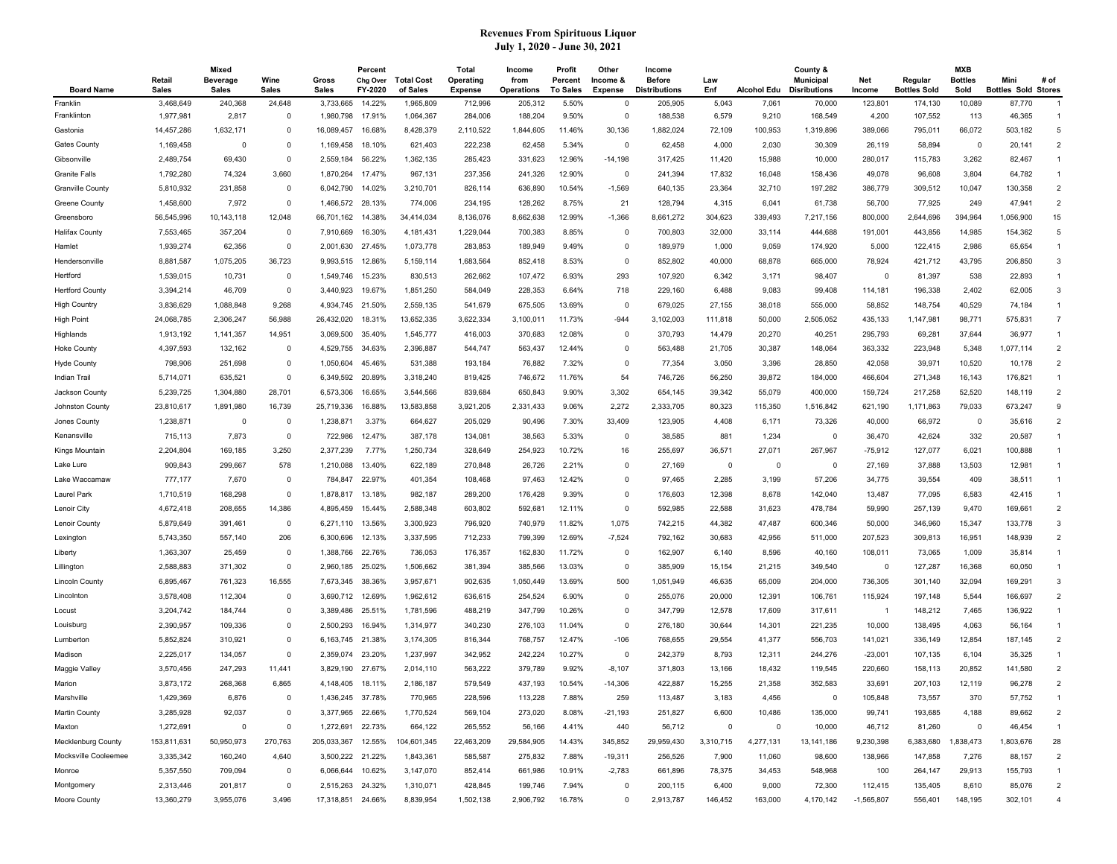| <b>Board Name</b>       | Retail<br><b>Sales</b> | Mixed<br><b>Beverage</b><br>Sales | Wine<br>Sales | Gross<br><b>Sales</b>                  | Percent<br>Chg Over<br>FY-2020 | <b>Total Cost</b><br>of Sales | Total<br>Operating<br><b>Expense</b> | Income<br>from<br><b>Operations</b> | Profit<br>Percent<br><b>To Sales</b> | Other<br>Income &<br>Expense | Income<br><b>Before</b><br><b>Distributions</b> | Law<br>Enf | <b>Alcohol Edu</b> | County &<br>Municipal<br><b>Disributions</b> | Net<br>Income       | Regular<br><b>Bottles Sold</b> | <b>MXB</b><br><b>Bottles</b><br>Sold | Mini<br><b>Bottles Sold Stores</b> | # of                     |
|-------------------------|------------------------|-----------------------------------|---------------|----------------------------------------|--------------------------------|-------------------------------|--------------------------------------|-------------------------------------|--------------------------------------|------------------------------|-------------------------------------------------|------------|--------------------|----------------------------------------------|---------------------|--------------------------------|--------------------------------------|------------------------------------|--------------------------|
| Franklin                | 3,468,649              | 240,368                           | 24,648        | 3,733,665                              | 14.22%                         | 1,965,809                     | 712,996                              | 205,312                             | 5.50%                                | $\mathbf 0$                  | 205,905                                         | 5,043      | 7,061              | 70,000                                       | 123,801             | 174,130                        | 10,089                               | 87,770                             | -1                       |
| Franklinton             | 1,977,981              | 2,817                             | $\mathbf 0$   | 1,980,798                              | 17.91%                         | 1,064,367                     | 284,006                              | 188,204                             | 9.50%                                | $\mathbf 0$                  | 188,538                                         | 6,579      | 9,210              | 168,549                                      | 4,200               | 107,552                        | 113                                  | 46,365                             | $\overline{1}$           |
| Gastonia                | 14,457,286             | 1,632,171                         | $\mathbf 0$   | 16,089,457                             | 16.68%                         | 8,428,379                     | 2,110,522                            | 1,844,605                           | 11.46%                               | 30,136                       | 1,882,024                                       | 72,109     | 100,953            | 1,319,896                                    | 389,066             | 795,011                        | 66,072                               | 503,182                            | 5                        |
| Gates County            | 1,169,458              | $\Omega$                          | $\mathbf 0$   | 1,169,458                              | 18.10%                         | 621,403                       | 222,238                              | 62,458                              | 5.34%                                | $\Omega$                     | 62,458                                          | 4,000      | 2,030              | 30,309                                       | 26,119              | 58,894                         | $\mathbf 0$                          | 20,141                             | $\overline{2}$           |
| Gibsonville             | 2,489,754              | 69,430                            | $\mathbf 0$   | 2,559,184                              | 56.22%                         | 1,362,135                     | 285,423                              | 331,623                             | 12.96%                               | $-14,198$                    | 317,425                                         | 11,420     | 15,988             | 10,000                                       | 280,017             | 115,783                        | 3,262                                | 82,467                             | $\mathbf{1}$             |
| <b>Granite Falls</b>    | 1,792,280              | 74,324                            | 3,660         | 1,870,264                              | 17.47%                         | 967,131                       | 237,356                              | 241,326                             | 12.90%                               | $\Omega$                     | 241,394                                         | 17,832     | 16,048             | 158,436                                      | 49,078              | 96,608                         | 3,804                                | 64,782                             | $\mathbf{1}$             |
| <b>Granville County</b> | 5,810,932              | 231,858                           | $\mathbf 0$   | 6,042,790                              | 14.02%                         | 3,210,701                     | 826,114                              | 636,890                             | 10.54%                               | $-1,569$                     | 640,135                                         | 23,364     | 32,710             | 197,282                                      | 386,779             | 309,512                        | 10,047                               | 130,358                            | $\overline{2}$           |
| Greene County           | 1,458,600              | 7,972                             | $\mathbf 0$   | 1,466,572                              | 28.13%                         | 774,006                       | 234,195                              | 128,262                             | 8.75%                                | 21                           | 128,794                                         | 4,315      | 6,041              | 61,738                                       | 56,700              | 77,925                         | 249                                  | 47,941                             | $\overline{2}$           |
| Greensboro              | 56,545,996             | 10,143,118                        | 12,048        | 66,701,162                             | 14.38%                         | 34,414,034                    | 8,136,076                            | 8,662,638                           | 12.99%                               | $-1,366$                     | 8,661,272                                       | 304,623    | 339,493            | 7,217,156                                    | 800,000             | 2,644,696                      | 394,964                              | 1,056,900                          | 15                       |
| <b>Halifax County</b>   | 7,553,465              | 357,204                           | 0             | 7,910,669                              | 16.30%                         | 4,181,431                     | 1,229,044                            | 700,383                             | 8.85%                                | - 0                          | 700,803                                         | 32,000     | 33,114             | 444,688                                      | 191,001             | 443,856                        | 14,985                               | 154,362                            | 5                        |
| Hamlet                  | 1,939,274              | 62,356                            | $\mathbf 0$   | 2,001,630                              | 27.45%                         | 1,073,778                     | 283,853                              | 189,949                             | 9.49%                                | $\mathbf 0$                  | 189,979                                         | 1,000      | 9,059              | 174,920                                      | 5,000               | 122,415                        | 2,986                                | 65,654                             | $\overline{1}$           |
| Hendersonville          | 8,881,587              | 1,075,205                         | 36,723        | 9,993,515                              | 12.86%                         | 5,159,114                     | 1,683,564                            | 852,418                             | 8.53%                                | $\mathbf 0$                  | 852,802                                         | 40,000     | 68,878             | 665,000                                      | 78,924              | 421,712                        | 43,795                               | 206,850                            | 3                        |
| Hertford                | 1,539,015              | 10,731                            | 0             | 1,549,746                              | 15.23%                         | 830,513                       | 262,662                              | 107,472                             | 6.93%                                | 293                          | 107,920                                         | 6,342      | 3,171              | 98,407                                       | $\mathbf 0$         | 81,397                         | 538                                  | 22,893                             | -1                       |
| <b>Hertford County</b>  | 3,394,214              | 46,709                            | $\mathbf 0$   | 3,440,923                              | 19.67%                         | 1,851,250                     | 584,049                              | 228,353                             | 6.64%                                | 718                          | 229,160                                         | 6,488      | 9,083              | 99,408                                       | 114,181             | 196,338                        | 2,402                                | 62,005                             | 3                        |
| High Country            | 3,836,629              | 1,088,848                         | 9,268         | 4,934,745                              | 21.50%                         | 2,559,135                     | 541,679                              | 675,505                             | 13.69%                               | $\overline{0}$               | 679,025                                         | 27,155     | 38,018             | 555,000                                      | 58,852              | 148,754                        | 40,529                               | 74,184                             | $\mathbf{1}$             |
| High Point              | 24,068,785             | 2,306,247                         | 56,988        | 26,432,020                             | 18.31%                         | 13,652,335                    | 3,622,334                            | 3,100,011                           | 11.73%                               | $-944$                       | 3,102,003                                       | 111,818    | 50,000             | 2,505,052                                    | 435,133             | 1,147,981                      | 98,771                               | 575,831                            | $\overline{7}$           |
| Highlands               | 1,913,192              | 1,141,357                         | 14,951        | 3,069,500                              | 35.40%                         | 1,545,777                     | 416,003                              | 370,683                             | 12.08%                               | $\mathbf 0$                  | 370,793                                         | 14,479     | 20,270             | 40,251                                       | 295,793             | 69,281                         | 37,644                               | 36,977                             | $\mathbf{1}$             |
| <b>Hoke County</b>      | 4,397,593              | 132,162                           | 0             | 4,529,755                              | 34.63%                         | 2,396,887                     | 544,747                              | 563,437                             | 12.44%                               | $\mathbf 0$                  | 563,488                                         | 21,705     | 30,387             | 148,064                                      | 363,332             | 223,948                        | 5,348                                | 1,077,114                          | $\overline{2}$           |
| Hyde County             | 798,906                | 251,698                           | 0             | 1,050,604                              | 45.46%                         | 531,388                       | 193,184                              | 76,882                              | 7.32%                                | $\mathbf 0$                  | 77,354                                          | 3,050      | 3,396              | 28,850                                       | 42,058              | 39,971                         | 10,520                               | 10,178                             | $\overline{2}$           |
| Indian Trail            | 5,714,071              | 635,521                           | $\mathbf 0$   | 6,349,592                              | 20.89%                         | 3,318,240                     | 819,425                              | 746,672                             | 11.76%                               | 54                           | 746,726                                         | 56,250     | 39,872             | 184,000                                      | 466,604             | 271,348                        | 16,143                               | 176,821                            | $\overline{1}$           |
| Jackson County          | 5,239,725              | 1,304,880                         | 28,701        | 6,573,306                              | 16.65%                         | 3,544,566                     | 839,684                              | 650,843                             | 9.90%                                | 3,302                        | 654,145                                         | 39,342     | 55,079             | 400,000                                      | 159,724             | 217,258                        | 52,520                               | 148,119                            | $\overline{2}$           |
| Johnston County         | 23,810,617             | 1,891,980                         | 16,739        | 25,719,336                             | 16.88%                         | 13,583,858                    | 3,921,205                            | 2,331,433                           | 9.06%                                | 2,272                        | 2,333,705                                       | 80,323     | 115,350            | 1,516,842                                    | 621,190             | 1,171,863                      | 79,033                               | 673,247                            | 9                        |
| Jones County            | 1,238,871              | $^{\circ}$                        | $\mathbf 0$   | 1,238,871                              | 3.37%                          | 664,627                       | 205,029                              | 90,496                              | 7.30%                                | 33,409                       | 123,905                                         | 4,408      | 6,171              | 73,326                                       | 40,000              | 66,972                         | $\overline{0}$                       | 35,616                             | $\overline{2}$           |
| Kenansville             | 715,113                | 7,873                             | $\mathbf 0$   | 722,986                                | 12.47%                         | 387,178                       | 134,081                              | 38,563                              | 5.33%                                | $\mathbf 0$                  | 38,585                                          | 881        | 1,234              | 0                                            | 36,470              | 42,624                         | 332                                  | 20,587                             | $\mathbf{1}$             |
| Kings Mountain          | 2,204,804              | 169,185                           | 3,250         | 2,377,239                              | 7.77%                          | 1,250,734                     | 328,649                              | 254,923                             | 10.72%                               | 16                           | 255,697                                         | 36,571     | 27,071             | 267,967                                      | $-75,912$           | 127,077                        | 6,021                                | 100,888                            | $\overline{1}$           |
| Lake Lure               | 909,843                | 299,667                           | 578           | 1,210,088                              | 13.40%                         | 622,189                       | 270,848                              | 26,726                              | 2.21%                                | $\mathbf 0$                  | 27,169                                          | $^{\circ}$ | 0                  | 0                                            | 27,169              | 37,888                         | 13,503                               | 12,981                             | $\mathbf{1}$             |
| Lake Waccamaw           | 777,177                | 7,670                             | 0             | 784,847                                | 22.97%                         | 401,354                       | 108,468                              | 97,463                              | 12.42%                               | 0                            | 97,465                                          | 2,285      | 3,199              | 57,206                                       | 34,775              | 39,554                         | 409                                  | 38,511                             | $\mathbf{1}$             |
| Laurel Park             | 1,710,519              | 168,298                           | $\mathbf 0$   | 1,878,817                              | 13.18%                         | 982,187                       | 289,200                              | 176,428                             | 9.39%                                | $\mathbf 0$                  | 176,603                                         | 12,398     | 8,678              | 142,040                                      | 13,487              | 77,095                         | 6,583                                | 42,415                             | $\overline{1}$           |
| Lenoir City             | 4,672,418              | 208,655                           | 14,386        | 4,895,459                              | 15.44%                         | 2,588,348                     | 603,802                              | 592,681                             | 12.11%                               | $\overline{0}$               | 592,985                                         | 22,588     | 31,623             | 478,784                                      | 59,990              | 257,139                        | 9,470                                | 169,661                            | $\overline{2}$           |
| Lenoir County           | 5,879,649              | 391,461                           | 0             | 6,271,110                              | 13.56%                         | 3,300,923                     | 796,920                              | 740,979                             | 11.82%                               | 1,075                        | 742,215                                         | 44,382     | 47,487             | 600,346                                      | 50,000              | 346,960                        | 15,347                               | 133,778                            | 3                        |
| Lexington               | 5,743,350              | 557,140                           | 206           | 6,300,696                              | 12.13%                         | 3,337,595                     | 712,233                              | 799,399                             | 12.69%                               | $-7,524$                     | 792,162                                         | 30,683     | 42,956             | 511,000                                      | 207,523             | 309,813                        | 16,951                               | 148,939                            | $\overline{2}$           |
| Liberty                 | 1,363,307              | 25,459                            | $\mathbf 0$   | 1,388,766                              | 22.76%                         | 736,053                       | 176,357                              | 162,830                             | 11.72%                               | $\mathbf 0$                  | 162,907                                         | 6,140      | 8,596              | 40,160                                       | 108,011             | 73,065                         | 1,009                                | 35,814                             | $\overline{1}$           |
| Lillington              | 2,588,883              | 371,302                           | $\mathbf 0$   | 2,960,185                              | 25.02%                         | 1,506,662                     | 381,394                              | 385,566                             | 13.03%                               | $\mathbf 0$                  | 385,909                                         | 15,154     | 21,215             | 349,540                                      | 0                   | 127,287                        | 16,368                               | 60,050                             | $\mathbf{1}$             |
| <b>Lincoln County</b>   | 6,895,467              | 761,323                           | 16,555        | 7,673,345                              | 38.36%                         | 3,957,671                     | 902,635                              | 1,050,449                           | 13.69%                               | 500                          | 1,051,949                                       | 46,635     | 65,009             | 204,000                                      | 736,305             | 301,140                        | 32,094                               | 169,291                            | 3                        |
| Lincolnton              | 3,578,408              | 112,304                           | 0             | 3,690,712                              | 12.69%                         | 1,962,612                     | 636,615                              | 254,524                             | 6.90%                                | 0                            | 255,076                                         | 20,000     | 12,391             | 106,761                                      | 115,924             | 197,148                        | 5,544                                | 166,697                            | $\overline{2}$           |
| Locust                  | 3,204,742              | 184,744                           | 0             | 3,389,486                              | 25.51%                         | 1,781,596                     | 488,219                              | 347,799                             | 10.26%                               | $\mathbf 0$                  | 347,799                                         | 12,578     | 17,609             | 317,611                                      | $\overline{1}$      | 148,212                        | 7,465                                | 136,922                            | $\mathbf{1}$             |
| Louisburg               | 2,390,957              | 109,336                           | $\mathbf 0$   | 2,500,293                              | 16.94%                         | 1,314,977                     | 340,230                              | 276,103                             | 11.04%                               | $\mathbf 0$                  | 276,180                                         | 30,644     | 14,301             | 221,235                                      | 10,000              | 138,495                        | 4,063                                | 56,164                             | $\overline{1}$           |
| Lumberton               | 5,852,824              | 310,921                           | $\mathbf 0$   | 6,163,745                              | 21.38%                         | 3,174,305                     | 816,344                              | 768,757                             | 12.47%                               | $-106$                       | 768,655                                         | 29,554     | 41,377             | 556,703                                      | 141,021             | 336,149                        | 12,854                               | 187,145                            | $\overline{2}$           |
| Madison                 | 2,225,017              | 134,057                           | $\mathbf 0$   | 2,359,074                              | 23.20%                         | 1,237,997                     | 342,952                              | 242,224                             | 10.27%                               | $\mathbf 0$                  | 242,379                                         | 8,793      | 12,311             | 244,276                                      | $-23,001$           | 107,135                        | 6,104                                | 35,325                             | $\overline{1}$           |
| Maggie Valley           | 3,570,456              | 247,293                           | 11,441        | 3,829,190                              | 27.67%                         | 2,014,110                     | 563,222                              | 379,789                             | 9.92%                                | $-8,107$                     | 371,803                                         | 13,166     | 18,432             | 119,545                                      | 220,660             | 158,113                        | 20,852                               | 141,580                            | $\overline{2}$           |
| Marion                  | 3,873,172              | 268,368                           | 6,865         | 4,148,405 18.11%                       |                                | 2,186,187                     | 579,549                              | 437,193                             | 10.54%                               | $-14,306$                    | 422,887                                         | 15,255     | 21,358             | 352,583                                      | 33,691              | 207,103                        | 12,119                               | 96,278                             | $\overline{\phantom{a}}$ |
| Marshville              | 1,429,369              | 6,876                             |               | 1,436,245                              | 37.78%                         | 770,965                       | 228,596                              | 113,228                             | 7.88%                                | 259                          | 113,487                                         | 3,183      | 4,456              |                                              | 105,848             | 73,557                         | 370                                  | 57,752                             |                          |
| Martin County           | 3,285,928              | 92,037                            | 0             | 3,377,965 22.66%                       |                                | 1,770,524                     | 569,104                              | 273,020                             | 8.08%                                | $-21,193$                    | 251,827                                         | 6,600      | 10,486             | 135,000                                      | 99,741              | 193,685                        | 4,188                                | 89,662                             | $\overline{2}$           |
| Maxton                  | 1,272,691              | 0                                 | 0             |                                        |                                |                               | 265,552                              |                                     | 4.41%                                | 440                          | 56,712                                          | $^{\circ}$ | 0                  |                                              |                     | 81,260                         | $\mathbf 0$                          | 46,454                             |                          |
|                         | 153,811,631            | 50,950,973                        | 270,763       | 1,272,691 22.73%<br>205,033,367 12.55% |                                | 664,122<br>104,601,345        |                                      | 56,166<br>29,584,905                | 14.43%                               | 345,852                      | 29,959,430                                      | 3,310,715  | 4,277,131          | 10,000                                       | 46,712<br>9,230,398 |                                | ,838,473                             |                                    |                          |
| Mecklenburg County      |                        |                                   |               |                                        |                                |                               | 22,463,209                           |                                     |                                      |                              |                                                 |            |                    | 13,141,186                                   |                     | 6,383,680                      |                                      | 1,803,676                          | 28                       |
| Mocksville Cooleemee    | 3,335,342              | 160,240                           | 4,640         | 3,500,222 21.22%                       |                                | 1,843,361                     | 585,587                              | 275,832                             | 7.88%                                | $-19,311$                    | 256,526                                         | 7,900      | 11,060             | 98,600                                       | 138,966             | 147,858                        | 7,276                                | 88,157                             | $\overline{2}$           |
| Monroe                  | 5,357,550              | 709,094                           | 0             | 6,066,644 10.62%                       |                                | 3,147,070                     | 852,414                              | 661,986                             | 10.91%                               | $-2,783$                     | 661,896                                         | 78,375     | 34,453             | 548,968                                      | 100                 | 264,147                        | 29,913                               | 155,793                            | $\mathbf{1}$             |
| Montgomery              | 2,313,446              | 201,817                           | 0             | 2,515,263 24.32%                       |                                | 1,310,071                     | 428,845                              | 199,746                             | 7.94%                                | $\mathbf 0$                  | 200,115                                         | 6,400      | 9,000              | 72,300                                       | 112,415             | 135,405                        | 8,610                                | 85,076                             | $\overline{2}$           |
| Moore County            | 13,360,279             | 3,955,076                         | 3,496         | 17,318,851 24.66%                      |                                | 8,839,954                     | 1,502,138                            | 2,906,792                           | 16.78%                               | $\mathbf 0$                  | 2,913,787                                       | 146,452    | 163,000            | 4,170,142                                    | $-1,565,807$        | 556,401                        | 148,195                              | 302,101                            | $\overline{4}$           |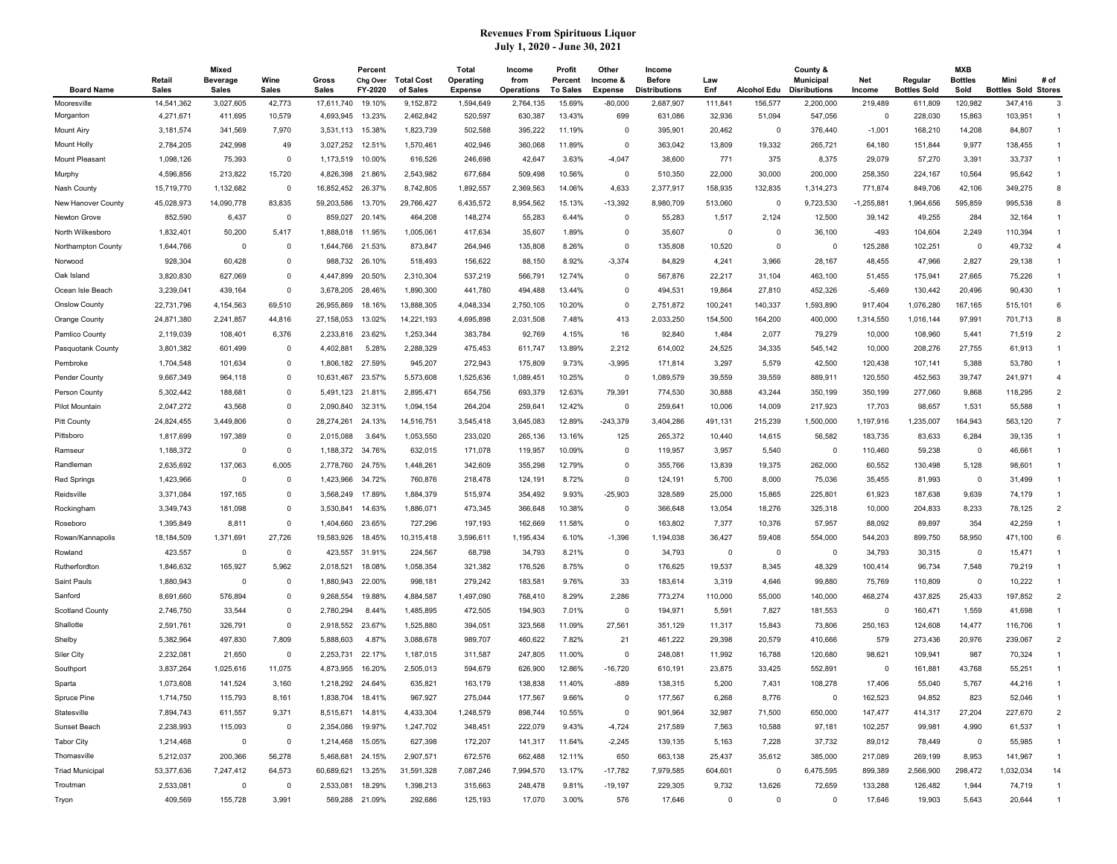| <b>Board Name</b>      | Retail<br><b>Sales</b> | Mixed<br><b>Beverage</b><br><b>Sales</b> | Wine<br><b>Sales</b> | Gross<br><b>Sales</b> | Percent<br>Chg Over<br>FY-2020 | <b>Total Cost</b><br>of Sales | Total<br>Operating<br><b>Expense</b> | Income<br>from<br><b>Operations</b> | Profit<br>Percent<br><b>To Sales</b> | Other<br>Income &<br><b>Expense</b> | Income<br><b>Before</b><br><b>Distributions</b> | Law<br>Enf  | <b>Alcohol Edu</b> | County &<br><b>Municipal</b><br><b>Disributions</b> | Net<br>Income | Regular<br><b>Bottles Sold</b> | <b>MXB</b><br><b>Bottles</b><br>Sold | Mini<br><b>Bottles Sold Stores</b> | # of           |
|------------------------|------------------------|------------------------------------------|----------------------|-----------------------|--------------------------------|-------------------------------|--------------------------------------|-------------------------------------|--------------------------------------|-------------------------------------|-------------------------------------------------|-------------|--------------------|-----------------------------------------------------|---------------|--------------------------------|--------------------------------------|------------------------------------|----------------|
| Mooresville            | 14,541,362             | 3,027,605                                | 42,773               | 17,611,740            | 19.10%                         | 9,152,872                     | 1,594,649                            | 2,764,135                           | 15.69%                               | $-80,000$                           | 2,687,907                                       | 111,841     | 156,577            | 2,200,000                                           | 219,489       | 611,809                        | 120,982                              | 347,416                            | -3             |
| Morganton              | 4,271,671              | 411,695                                  | 10,579               | 4,693,945             | 13.23%                         | 2,462,842                     | 520,597                              | 630,387                             | 13.43%                               | 699                                 | 631,086                                         | 32,936      | 51,094             | 547,056                                             | $\mathbf 0$   | 228,030                        | 15,863                               | 103,951                            | $\mathbf{1}$   |
| <b>Mount Airy</b>      | 3,181,574              | 341,569                                  | 7,970                | 3,531,113             | 15.38%                         | 1,823,739                     | 502,588                              | 395,222                             | 11.19%                               | 0                                   | 395,901                                         | 20,462      | $\mathbf 0$        | 376,440                                             | $-1,001$      | 168,210                        | 14,208                               | 84,807                             | $\mathbf{1}$   |
| <b>Mount Holly</b>     | 2,784,205              | 242,998                                  | 49                   | 3,027,252             | 12.51%                         | 1,570,461                     | 402,946                              | 360,068                             | 11.89%                               | $\Omega$                            | 363,042                                         | 13,809      | 19,332             | 265,721                                             | 64,180        | 151,844                        | 9,977                                | 138,455                            | $\mathbf{1}$   |
| Mount Pleasant         | 1,098,126              | 75,393                                   | $\mathbf 0$          | 1,173,519             | 10.00%                         | 616,526                       | 246,698                              | 42,647                              | 3.63%                                | $-4,047$                            | 38,600                                          | 771         | 375                | 8,375                                               | 29,079        | 57,270                         | 3,391                                | 33,737                             | $\mathbf{1}$   |
| Murphy                 | 4,596,856              | 213,822                                  | 15,720               | 4,826,398             | 21.86%                         | 2,543,982                     | 677,684                              | 509,498                             | 10.56%                               | $\Omega$                            | 510,350                                         | 22,000      | 30,000             | 200,000                                             | 258,350       | 224,167                        | 10,564                               | 95,642                             | $\mathbf{1}$   |
| Nash County            | 15,719,770             | 1,132,682                                | $\mathbf 0$          | 16,852,452            | 26.37%                         | 8,742,805                     | 1,892,557                            | 2,369,563                           | 14.06%                               | 4,633                               | 2,377,917                                       | 158,935     | 132,835            | 1,314,273                                           | 771,874       | 849,706                        | 42,106                               | 349,275                            | 8              |
| New Hanover County     | 45,028,973             | 14,090,778                               | 83,835               | 59,203,586            | 13.70%                         | 29,766,427                    | 6,435,572                            | 8,954,562                           | 15.13%                               | $-13,392$                           | 8,980,709                                       | 513,060     | 0                  | 9,723,530                                           | 1,255,881     | 964,656                        | 595,859                              | 995,538                            | 8              |
| Newton Grove           | 852,590                | 6,437                                    | $\mathbf 0$          | 859,027               | 20.14%                         | 464,208                       | 148,274                              | 55,283                              | 6.44%                                | $\Omega$                            | 55,283                                          | 1,517       | 2,124              | 12,500                                              | 39,142        | 49,255                         | 284                                  | 32,164                             | $\overline{1}$ |
| North Wilkesboro       | 1,832,401              | 50,200                                   | 5,417                | 1,888,018             | 11.95%                         | 1,005,061                     | 417,634                              | 35,607                              | 1.89%                                | 0                                   | 35,607                                          | 0           | $\mathbf 0$        | 36,100                                              | $-493$        | 104,604                        | 2,249                                | 110,394                            |                |
| Northampton County     | 1,644,766              | - 0                                      | 0                    | 1,644,766             | 21.53%                         | 873,847                       | 264,946                              | 135,808                             | 8.26%                                | 0                                   | 135,808                                         | 10,520      | 0                  | O                                                   | 125,288       | 102,251                        | 0                                    | 49,732                             | $\overline{4}$ |
| Norwood                | 928,304                | 60,428                                   | $\mathbf 0$          | 988,732               | 26.10%                         | 518,493                       | 156,622                              | 88,150                              | 8.92%                                | $-3,374$                            | 84,829                                          | 4,241       | 3,966              | 28,167                                              | 48,455        | 47,966                         | 2,827                                | 29,138                             | $\mathbf{1}$   |
| Oak Island             | 3,820,830              | 627,069                                  | $\mathbf 0$          | 4,447,899             | 20.50%                         | 2,310,304                     | 537,219                              | 566,791                             | 12.74%                               | 0                                   | 567,876                                         | 22,217      | 31,104             | 463,100                                             | 51,455        | 175,941                        | 27,665                               | 75,226                             | $\mathbf{1}$   |
| Ocean Isle Beach       | 3,239,041              | 439,164                                  | $\Omega$             | 3,678,205             | 28.46%                         | 1,890,300                     | 441,780                              | 494,488                             | 13.44%                               | $\Omega$                            | 494,531                                         | 19,864      | 27,810             | 452,326                                             | $-5,469$      | 130,442                        | 20,496                               | 90,430                             | $\mathbf{1}$   |
| <b>Onslow County</b>   | 22,731,796             | 4,154,563                                | 69,510               | 26,955,869            | 18.16%                         | 13,888,305                    | 4,048,334                            | 2,750,105                           | 10.20%                               | $\Omega$                            | 2,751,872                                       | 100,241     | 140,337            | 1,593,890                                           | 917,404       | 1,076,280                      | 167,165                              | 515,101                            | 6              |
| Orange County          | 24,871,380             | 2,241,857                                | 44,816               | 27,158,053            | 13.02%                         | 14,221,193                    | 4,695,898                            | 2,031,508                           | 7.48%                                | 413                                 | 2,033,250                                       | 154,500     | 164,200            | 400,000                                             | 1,314,550     | 1,016,144                      | 97,991                               | 701,713                            | 8              |
| Pamlico County         | 2,119,039              | 108,401                                  | 6,376                | 2,233,816             | 23.62%                         | 1,253,344                     | 383,784                              | 92,769                              | 4.15%                                | 16                                  | 92,840                                          | 1,484       | 2,077              | 79,279                                              | 10,000        | 108,960                        | 5,441                                | 71,519                             | $\overline{2}$ |
| Pasquotank County      | 3,801,382              | 601,499                                  | 0                    | 4,402,881             | 5.28%                          | 2,288,329                     | 475,453                              | 611,747                             | 13.89%                               | 2,212                               | 614,002                                         | 24,525      | 34,335             | 545,142                                             | 10,000        | 208,276                        | 27,755                               | 61,913                             | $\overline{1}$ |
| Pembroke               | 1,704,548              | 101,634                                  | 0                    | 1,806,182             | 27.59%                         | 945,207                       | 272,943                              | 175,809                             | 9.73%                                | $-3,995$                            | 171,814                                         | 3,297       | 5,579              | 42,500                                              | 120,438       | 107,141                        | 5,388                                | 53,780                             | $\mathbf{1}$   |
| Pender County          | 9,667,349              | 964,118                                  | $\mathbf 0$          | 10,631,467            | 23.57%                         | 5,573,608                     | 1,525,636                            | 1,089,451                           | 10.25%                               | $\mathbf 0$                         | 1,089,579                                       | 39,559      | 39,559             | 889,911                                             | 120,550       | 452,563                        | 39,747                               | 241,971                            | $\overline{4}$ |
| Person County          | 5,302,442              | 188,681                                  | 0                    | 5,491,123             | 21.81%                         | 2,895,471                     | 654,756                              | 693,379                             | 12.63%                               | 79,391                              | 774,530                                         | 30,888      | 43,244             | 350,199                                             | 350,199       | 277,060                        | 9,868                                | 118,295                            | $\overline{2}$ |
| Pilot Mountain         | 2,047,272              | 43,568                                   | $\Omega$             | 2,090,840             | 32.31%                         | 1,094,154                     | 264,204                              | 259,641                             | 12.42%                               | $\Omega$                            | 259,641                                         | 10,006      | 14,009             | 217,923                                             | 17,703        | 98,657                         | 1,531                                | 55,588                             | $\mathbf{1}$   |
| <b>Pitt County</b>     | 24,824,455             | 3,449,806                                | $\mathbf 0$          | 28,274,261            | 24.13%                         | 14,516,751                    | 3,545,418                            | 3,645,083                           | 12.89%                               | $-243,379$                          | 3,404,286                                       | 491,131     | 215,239            | 1,500,000                                           | 1,197,916     | ,235,007                       | 164,943                              | 563,120                            | $\overline{7}$ |
| Pittsboro              | 1,817,699              | 197,389                                  | 0                    | 2,015,088             | 3.64%                          | 1,053,550                     | 233,020                              | 265,136                             | 13.16%                               | 125                                 | 265,372                                         | 10,440      | 14,615             | 56,582                                              | 183,735       | 83,633                         | 6,284                                | 39,135                             | $\mathbf{1}$   |
| Ramseur                | 1,188,372              | $\mathbf 0$                              | 0                    | 1,188,372             | 34.76%                         | 632,015                       | 171,078                              | 119,957                             | 10.09%                               | 0                                   | 119,957                                         | 3,957       | 5,540              | O                                                   | 110,460       | 59,238                         | 0                                    | 46,661                             | $\overline{1}$ |
| Randleman              | 2,635,692              | 137,063                                  | 6,005                | 2,778,760             | 24.75%                         | 1,448,261                     | 342,609                              | 355,298                             | 12.79%                               | 0                                   | 355,766                                         | 13,839      | 19,375             | 262,000                                             | 60,552        | 130,498                        | 5,128                                | 98,601                             |                |
|                        |                        | - 0                                      | 0                    | 1,423,966             |                                | 760,876                       |                                      |                                     | 8.72%                                | 0                                   |                                                 | 5,700       |                    | 75,036                                              | 35,455        | 81,993                         | 0                                    | 31,499                             | $\mathbf{1}$   |
| Red Springs            | 1,423,966<br>3,371,084 | 197,165                                  | $\mathbf 0$          | 3,568,249             | 34.72%<br>17.89%               | 1,884,379                     | 218,478<br>515,974                   | 124,191<br>354,492                  | 9.93%                                | $-25,903$                           | 124,191<br>328,589                              | 25,000      | 8,000<br>15,865    | 225,801                                             | 61,923        | 187,638                        | 9,639                                | 74,179                             | $\mathbf{1}$   |
| Reidsville             |                        |                                          | $\mathbf 0$          |                       | 14.63%                         |                               |                                      |                                     | 10.38%                               | $\Omega$                            |                                                 |             |                    |                                                     |               |                                | 8,233                                |                                    | $\overline{2}$ |
| Rockingham             | 3,349,743              | 181,098                                  |                      | 3,530,841             |                                | 1,886,071                     | 473,345                              | 366,648                             |                                      |                                     | 366,648                                         | 13,054      | 18,276             | 325,318                                             | 10,000        | 204,833                        |                                      | 78,125                             | $\mathbf{1}$   |
| Roseboro               | 1,395,849              | 8,811                                    | $\mathbf 0$          | 1,404,660             | 23.65%                         | 727,296                       | 197,193                              | 162,669                             | 11.58%                               | $\mathbf 0$                         | 163,802                                         | 7,377       | 10,376             | 57,957                                              | 88,092        | 89,897                         | 354                                  | 42,259                             | 6              |
| Rowan/Kannapolis       | 18,184,509             | 1,371,691                                | 27,726               | 19,583,926            | 18.45%                         | 10,315,418                    | 3,596,611                            | 1,195,434                           | 6.10%                                | $-1,396$                            | 1,194,038                                       | 36,427      | 59,408             | 554,000                                             | 544,203       | 899,750                        | 58,950                               | 471,100                            |                |
| Rowland                | 423,557                | $^{\circ}$                               | $\mathbf 0$          | 423,557               | 31.91%                         | 224,567                       | 68,798                               | 34,793                              | 8.21%                                | $\Omega$                            | 34,793                                          | 0           | $\mathbf 0$        | $\overline{\mathbf{0}}$                             | 34,793        | 30,315                         | $\Omega$                             | 15,471                             | $\mathbf{1}$   |
| Rutherfordton          | 1,846,632              | 165,927                                  | 5,962                | 2,018,521             | 18.08%                         | 1,058,354                     | 321,382                              | 176,526                             | 8.75%                                | $\mathbf 0$                         | 176,625                                         | 19,537      | 8,345              | 48,329                                              | 100,414       | 96,734                         | 7,548                                | 79,219                             | $\mathbf{1}$   |
| Saint Pauls            | 1,880,943              | $\mathbf 0$                              | 0                    | 1,880,943             | 22.00%                         | 998,181                       | 279,242                              | 183,581                             | 9.76%                                | 33                                  | 183,614                                         | 3,319       | 4,646              | 99,880                                              | 75,769        | 110,809                        | $\Omega$                             | 10,222                             |                |
| Sanford                | 8,691,660              | 576,894                                  | 0                    | 9,268,554             | 19.88%                         | 4,884,587                     | 1,497,090                            | 768,410                             | 8.29%                                | 2,286                               | 773,274                                         | 110,000     | 55,000             | 140,000                                             | 468,274       | 437,825                        | 25,433                               | 197,852                            | $\overline{2}$ |
| <b>Scotland County</b> | 2,746,750              | 33,544                                   | 0                    | 2,780,294             | 8.44%                          | 1,485,895                     | 472,505                              | 194,903                             | 7.01%                                | 0                                   | 194,971                                         | 5,591       | 7,827              | 181,553                                             | 0             | 160,471                        | 1,559                                | 41,698                             | $\overline{1}$ |
| Shallotte              | 2,591,761              | 326,791                                  | $\mathbf 0$          | 2,918,552             | 23.67%                         | 1,525,880                     | 394,051                              | 323,568                             | 11.09%                               | 27,561                              | 351,129                                         | 11,317      | 15,843             | 73,806                                              | 250,163       | 124,608                        | 14,477                               | 116,706                            | $\mathbf{1}$   |
| Shelby                 | 5,382,964              | 497,830                                  | 7,809                | 5,888,603             | 4.87%                          | 3,088,678                     | 989,707                              | 460,622                             | 7.82%                                | 21                                  | 461,222                                         | 29,398      | 20,579             | 410,666                                             | 579           | 273,436                        | 20,976                               | 239,067                            | $\overline{2}$ |
| Siler City             | 2,232,081              | 21,650                                   | $\mathbf 0$          | 2,253,731             | 22.17%                         | 1,187,015                     | 311,587                              | 247,805                             | 11.00%                               | $\mathbf 0$                         | 248,081                                         | 11,992      | 16,788             | 120,680                                             | 98,621        | 109,941                        | 987                                  | 70,324                             | $\mathbf{1}$   |
| Southport              | 3,837,264              | 1,025,616                                | 11,075               | 4,873,955             | 16.20%                         | 2,505,013                     | 594,679                              | 626,900                             | 12.86%                               | $-16,720$                           | 610,191                                         | 23,875      | 33,425             | 552,891                                             | $\Omega$      | 161,881                        | 43,768                               | 55,251                             | -1             |
| Sparta                 | 1,073,608              | 141,524                                  | 3,160                | 1,218,292 24.64%      |                                | 635,821                       | 163,179                              | 138,838                             | 11.40%                               | $-889$                              | 138,315                                         | 5,200       | 7,431              | 108,278                                             | 17,406        | 55,040                         | 5,767                                | 44,216                             |                |
| Spruce Pine            | 1,714,750              | 115,793                                  | 8,161                | 1,838,704             | 18.41%                         | 967,927                       | 275,044                              | 177,567                             | 9.66%                                |                                     | 177,567                                         | 6,268       | 8,776              |                                                     | 162,523       | 94,852                         | 823                                  | 52,046                             |                |
| Statesville            | 7,894,743              | 611,557                                  | 9,371                | 8,515,671 14.81%      |                                | 4,433,304                     | 1,248,579                            | 898,744                             | 10.55%                               | 0                                   | 901,964                                         | 32,987      | 71,500             | 650,000                                             | 147,477       | 414,317                        | 27,204                               | 227,670                            | $\overline{2}$ |
| Sunset Beach           | 2,238,993              | 115,093                                  | 0                    | 2,354,086 19.97%      |                                | 1,247,702                     | 348,451                              | 222,079                             | 9.43%                                | $-4,724$                            | 217,589                                         | 7,563       | 10,588             | 97,181                                              | 102,257       | 99,981                         | 4,990                                | 61,537                             |                |
| <b>Tabor City</b>      | 1,214,468              | $\overline{0}$                           | 0                    | 1,214,468 15.05%      |                                | 627,398                       | 172,207                              | 141,317                             | 11.64%                               | $-2,245$                            | 139,135                                         | 5,163       | 7,228              | 37,732                                              | 89,012        | 78,449                         | $\mathbf 0$                          | 55,985                             | -1             |
| Thomasville            | 5,212,037              | 200,366                                  | 56,278               | 5,468,681 24.15%      |                                | 2,907,571                     | 672,576                              | 662,488                             | 12.11%                               | 650                                 | 663,138                                         | 25,437      | 35,612             | 385,000                                             | 217,089       | 269,199                        | 8,953                                | 141,967                            | $\mathbf{1}$   |
| <b>Triad Municipal</b> | 53,377,636             | 7,247,412                                | 64,573               | 60,689,621 13.25%     |                                | 31,591,328                    | 7,087,246                            | 7,994,570                           | 13.17%                               | $-17,782$                           | 7,979,585                                       | 604,601     | $\mathbf 0$        | 6,475,595                                           | 899,389       | 2,566,900                      | 298,472                              | 1,032,034                          | 14             |
| Troutman               | 2,533,081              | $\overline{0}$                           | 0                    | 2,533,081 18.29%      |                                | 1,398,213                     | 315,663                              | 248,478                             | 9.81%                                | $-19,197$                           | 229,305                                         | 9,732       | 13,626             | 72,659                                              | 133,288       | 126,482                        | 1,944                                | 74,719                             | -1             |
| Tryon                  | 409,569                | 155,728                                  | 3,991                |                       | 569,288 21.09%                 | 292,686                       | 125,193                              | 17,070                              | 3.00%                                | 576                                 | 17,646                                          | $\mathbf 0$ | $\mathbf 0$        | $\mathbf 0$                                         | 17,646        | 19,903                         | 5,643                                | 20,644                             |                |